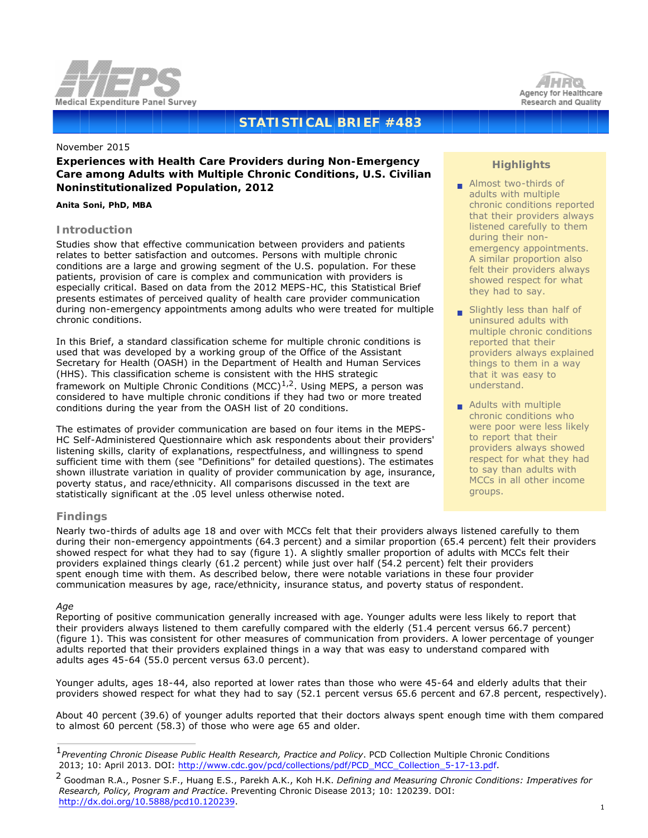



# **STATISTICAL BRIEF #483**

#### November 2015

# **Experiences with Health Care Providers during Non-Emergency Care among Adults with Multiple Chronic Conditions, U.S. Civilian Noninstitutionalized Population, 2012**

### *Anita Soni, PhD, MBA*

# **Introduction**

Studies show that effective communication between providers and patients relates to better satisfaction and outcomes. Persons with multiple chronic conditions are a large and growing segment of the U.S. population. For these patients, provision of care is complex and communication with providers is especially critical. Based on data from the 2012 MEPS-HC, this Statistical Brief presents estimates of perceived quality of health care provider communication during non-emergency appointments among adults who were treated for multiple chronic conditions.

In this Brief, a standard classification scheme for multiple chronic conditions is used that was developed by a working group of the Office of the Assistant Secretary for Health (OASH) in the Department of Health and Human Services (HHS). This classification scheme is consistent with the HHS strategic framework on Multiple Chronic Conditions (MCC) $1/2$ . Using MEPS, a person was considered to have multiple chronic conditions if they had two or more treated conditions during the year from the OASH list of 20 conditions.

The estimates of provider communication are based on four items in the MEPS-HC Self-Administered Questionnaire which ask respondents about their providers' listening skills, clarity of explanations, respectfulness, and willingness to spend sufficient time with them (see "Definitions" for detailed questions). The estimates shown illustrate variation in quality of provider communication by age, insurance, poverty status, and race/ethnicity. All comparisons discussed in the text are statistically significant at the .05 level unless otherwise noted.

# **Highlights**

- Almost two-thirds of adults with multiple chronic conditions reported that their providers always listened carefully to them during their non emergency appointments. A similar proportion also felt their providers always showed respect for what they had to say.
- Slightly less than half of uninsured adults with multiple chronic conditions reported that their providers always explained things to them in a way that it was easy to understand.
- **Adults with multiple** chronic conditions who were poor were less likely to report that their providers always showed respect for what they had to say than adults with MCCs in all other income groups.

# **Findings**

Nearly two-thirds of adults age 18 and over with MCCs felt that their providers always listened carefully to them during their non-emergency appointments (64.3 percent) and a similar proportion (65.4 percent) felt their providers showed respect for what they had to say (figure 1). A slightly smaller proportion of adults with MCCs felt their providers explained things clearly (61.2 percent) while just over half (54.2 percent) felt their providers spent enough time with them. As described below, there were notable variations in these four provider communication measures by age, race/ethnicity, insurance status, and poverty status of respondent.

## *Age*

Reporting of positive communication generally increased with age. Younger adults were less likely to report that their providers always listened to them carefully compared with the elderly (51.4 percent versus 66.7 percent) (figure 1). This was consistent for other measures of communication from providers. A lower percentage of younger adults reported that their providers explained things in a way that was easy to understand compared with adults ages 45-64 (55.0 percent versus 63.0 percent).

 Younger adults, ages 18-44, also reported at lower rates than those who were 45-64 and elderly adults that their providers showed respect for what they had to say (52.1 percent versus 65.6 percent and 67.8 percent, respectively).

 About 40 percent (39.6) of younger adults reported that their doctors always spent enough time with them compared to almost 60 percent (58.3) of those who were age 65 and older.

<sup>1</sup>*Preventing Chronic Disease Public Health Research, Practice and Policy*. PCD Collection Multiple Chronic Conditions 2013; 10: April 2013. DOI: [http://www.cdc.gov/pcd/collections/pdf/PCD\\_MCC\\_Collection\\_5-17-13.pdf.](http://www.cdc.gov/pcd/collections/pdf/PCD_MCC_Collection_5-17-13.pdf)

<sup>2</sup> Goodman R.A., Posner S.F., Huang E.S., Parekh A.K., Koh H.K. *Defining and Measuring Chronic Conditions: Imperatives for Research, Policy, Program and Practice*. Preventing Chronic Disease 2013; 10: 120239. DOI: [http://dx.doi.org/10.5888/pcd10.120239.](http://dx.doi.org/10.5888/pcd10.120239)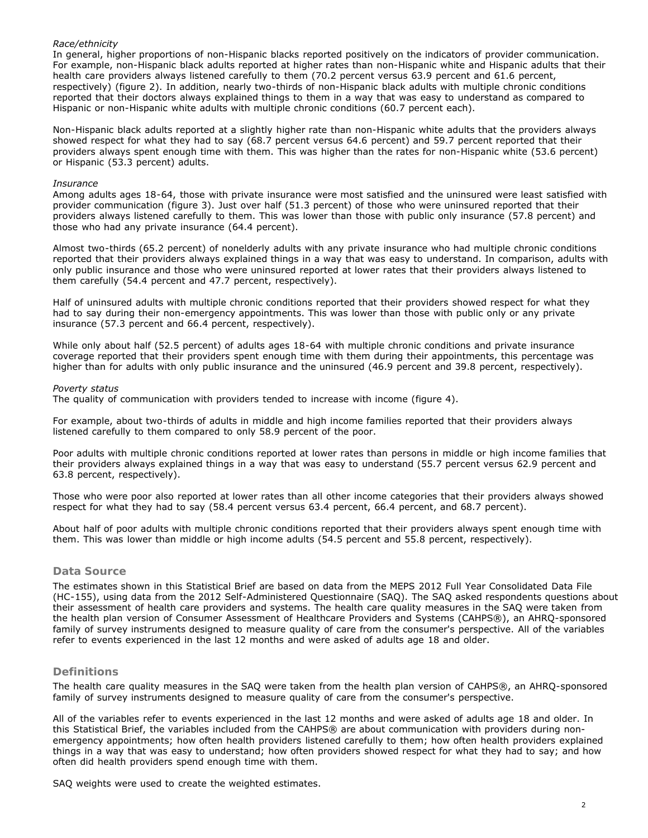## *Race/ethnicity*

In general, higher proportions of non-Hispanic blacks reported positively on the indicators of provider communication. For example, non-Hispanic black adults reported at higher rates than non-Hispanic white and Hispanic adults that their health care providers always listened carefully to them (70.2 percent versus 63.9 percent and 61.6 percent, respectively) (figure 2). In addition, nearly two-thirds of non-Hispanic black adults with multiple chronic conditions reported that their doctors always explained things to them in a way that was easy to understand as compared to Hispanic or non-Hispanic white adults with multiple chronic conditions (60.7 percent each).

Non-Hispanic black adults reported at a slightly higher rate than non-Hispanic white adults that the providers always showed respect for what they had to say (68.7 percent versus 64.6 percent) and 59.7 percent reported that their providers always spent enough time with them. This was higher than the rates for non-Hispanic white (53.6 percent) or Hispanic (53.3 percent) adults.

#### *Insurance*

Among adults ages 18-64, those with private insurance were most satisfied and the uninsured were least satisfied with provider communication (figure 3). Just over half (51.3 percent) of those who were uninsured reported that their providers always listened carefully to them. This was lower than those with public only insurance (57.8 percent) and those who had any private insurance (64.4 percent).

Almost two-thirds (65.2 percent) of nonelderly adults with any private insurance who had multiple chronic conditions reported that their providers always explained things in a way that was easy to understand. In comparison, adults with only public insurance and those who were uninsured reported at lower rates that their providers always listened to them carefully (54.4 percent and 47.7 percent, respectively).

Half of uninsured adults with multiple chronic conditions reported that their providers showed respect for what they had to say during their non-emergency appointments. This was lower than those with public only or any private insurance (57.3 percent and 66.4 percent, respectively).

While only about half (52.5 percent) of adults ages 18-64 with multiple chronic conditions and private insurance coverage reported that their providers spent enough time with them during their appointments, this percentage was higher than for adults with only public insurance and the uninsured (46.9 percent and 39.8 percent, respectively).

#### *Poverty status*

The quality of communication with providers tended to increase with income (figure 4).

For example, about two-thirds of adults in middle and high income families reported that their providers always listened carefully to them compared to only 58.9 percent of the poor.

Poor adults with multiple chronic conditions reported at lower rates than persons in middle or high income families that their providers always explained things in a way that was easy to understand (55.7 percent versus 62.9 percent and 63.8 percent, respectively).

Those who were poor also reported at lower rates than all other income categories that their providers always showed respect for what they had to say (58.4 percent versus 63.4 percent, 66.4 percent, and 68.7 percent).

About half of poor adults with multiple chronic conditions reported that their providers always spent enough time with them. This was lower than middle or high income adults (54.5 percent and 55.8 percent, respectively).

## **Data Source**

The estimates shown in this Statistical Brief are based on data from the MEPS 2012 Full Year Consolidated Data File (HC-155), using data from the 2012 Self-Administered Questionnaire (SAQ). The SAQ asked respondents questions about their assessment of health care providers and systems. The health care quality measures in the SAQ were taken from the health plan version of Consumer Assessment of Healthcare Providers and Systems (CAHPS®), an AHRQ-sponsored family of survey instruments designed to measure quality of care from the consumer's perspective. All of the variables refer to events experienced in the last 12 months and were asked of adults age 18 and older.

## **Definitions**

The health care quality measures in the SAQ were taken from the health plan version of CAHPS®, an AHRQ-sponsored family of survey instruments designed to measure quality of care from the consumer's perspective.

All of the variables refer to events experienced in the last 12 months and were asked of adults age 18 and older. In this Statistical Brief, the variables included from the CAHPS® are about communication with providers during nonemergency appointments; how often health providers listened carefully to them; how often health providers explained things in a way that was easy to understand; how often providers showed respect for what they had to say; and how often did health providers spend enough time with them.

SAQ weights were used to create the weighted estimates.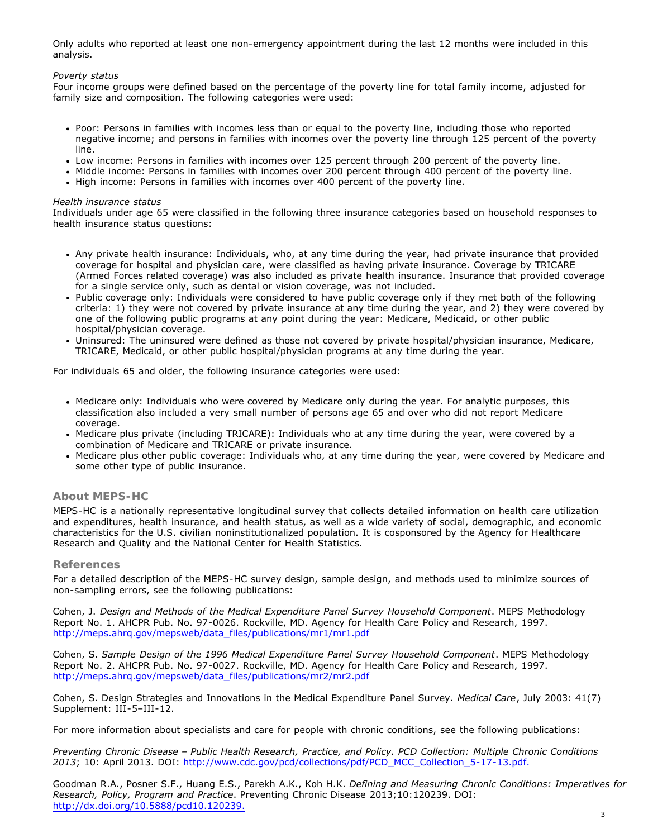Only adults who reported at least one non-emergency appointment during the last 12 months were included in this analysis.

### *Poverty status*

Four income groups were defined based on the percentage of the poverty line for total family income, adjusted for family size and composition. The following categories were used:

- Poor: Persons in families with incomes less than or equal to the poverty line, including those who reported negative income; and persons in families with incomes over the poverty line through 125 percent of the poverty line.
- Low income: Persons in families with incomes over 125 percent through 200 percent of the poverty line.
- Middle income: Persons in families with incomes over 200 percent through 400 percent of the poverty line.
- High income: Persons in families with incomes over 400 percent of the poverty line.

#### *Health insurance status*

Individuals under age 65 were classified in the following three insurance categories based on household responses to health insurance status questions:

- Any private health insurance: Individuals, who, at any time during the year, had private insurance that provided coverage for hospital and physician care, were classified as having private insurance. Coverage by TRICARE (Armed Forces related coverage) was also included as private health insurance. Insurance that provided coverage for a single service only, such as dental or vision coverage, was not included.
- Public coverage only: Individuals were considered to have public coverage only if they met both of the following criteria: 1) they were not covered by private insurance at any time during the year, and 2) they were covered by one of the following public programs at any point during the year: Medicare, Medicaid, or other public hospital/physician coverage.
- Uninsured: The uninsured were defined as those not covered by private hospital/physician insurance, Medicare, TRICARE, Medicaid, or other public hospital/physician programs at any time during the year.

For individuals 65 and older, the following insurance categories were used:

- Medicare only: Individuals who were covered by Medicare only during the year. For analytic purposes, this classification also included a very small number of persons age 65 and over who did not report Medicare coverage.
- Medicare plus private (including TRICARE): Individuals who at any time during the year, were covered by a combination of Medicare and TRICARE or private insurance.
- Medicare plus other public coverage: Individuals who, at any time during the year, were covered by Medicare and some other type of public insurance.

# **About MEPS-HC**

MEPS-HC is a nationally representative longitudinal survey that collects detailed information on health care utilization and expenditures, health insurance, and health status, as well as a wide variety of social, demographic, and economic characteristics for the U.S. civilian noninstitutionalized population. It is cosponsored by the Agency for Healthcare Research and Quality and the National Center for Health Statistics.

## **References**

For a detailed description of the MEPS-HC survey design, sample design, and methods used to minimize sources of non-sampling errors, see the following publications:

Cohen, J. *Design and Methods of the Medical Expenditure Panel Survey Household Component*. MEPS Methodology Report No. 1. AHCPR Pub. No. 97-0026. Rockville, MD. Agency for Health Care Policy and Research, 1997. [http://meps.ahrq.gov/mepsweb/data\\_files/publications/mr1/mr1.pdf](http://meps.ahrq.gov/mepsweb/data_files/publications/mr1/mr1.pdf)

Cohen, S. *Sample Design of the 1996 Medical Expenditure Panel Survey Household Component*. MEPS Methodology Report No. 2. AHCPR Pub. No. 97-0027. Rockville, MD. Agency for Health Care Policy and Research, 1997. [http://meps.ahrq.gov/mepsweb/data\\_files/publications/mr2/mr2.pdf](http://meps.ahrq.gov/mepsweb/data_files/publications/mr2/mr2.pdf)

Cohen, S. Design Strategies and Innovations in the Medical Expenditure Panel Survey. *Medical Care*, July 2003: 41(7) Supplement: III-5–III-12.

For more information about specialists and care for people with chronic conditions, see the following publications:

*Preventing Chronic Disease – Public Health Research, Practice, and Policy. PCD Collection: Multiple Chronic Conditions 2013*; 10: April 2013. DOI: [http://www.cdc.gov/pcd/collections/pdf/PCD\\_MCC\\_Collection\\_5-17-13.pdf.](http://www.cdc.gov/pcd/collections/pdf/PCD_MCC_Collection_5-17-13.pdf.)

Goodman R.A., Posner S.F., Huang E.S., Parekh A.K., Koh H.K. *Defining and Measuring Chronic Conditions: Imperatives for Research, Policy, Program and Practice*. Preventing Chronic Disease 2013;10:120239. DOI: [http://dx.doi.org/10.5888/pcd10.120239.](http://dx.doi.org/10.5888/pcd10.120239)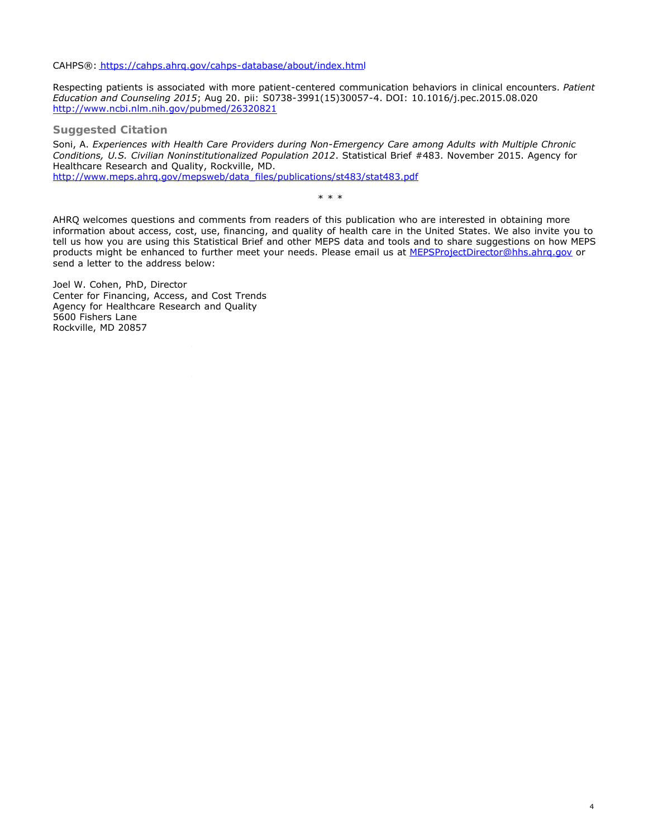CAHPS®: <https://cahps.ahrq.gov/cahps-database/about/index.html>

Respecting patients is associated with more patient-centered communication behaviors in clinical encounters. *Patient Education and Counseling 2015*; Aug 20. pii: S0738-3991(15)30057-4. DOI: 10.1016/j.pec.2015.08.020 <http://www.ncbi.nlm.nih.gov/pubmed/26320821>

**Suggested Citation**

Soni, A. *Experiences with Health Care Providers during Non-Emergency Care among Adults with Multiple Chronic Conditions, U.S. Civilian Noninstitutionalized Population 2012*. Statistical Brief #483. November 2015. Agency for Healthcare Research and Quality, Rockville, MD. [http://www.meps.ahrq.gov/mepsweb/data\\_files/publications/st483/stat483.pdf](http://www.meps.ahrq.gov/mepsweb/data_files/publications/st483/stat483.pdf)

\* \* \*

AHRQ welcomes questions and comments from readers of this publication who are interested in obtaining more information about access, cost, use, financing, and quality of health care in the United States. We also invite you to tell us how you are using this Statistical Brief and other MEPS data and tools and to share suggestions on how MEPS products might be enhanced to further meet your needs. Please email us at MEPSProjectDirector@hhs.ahrg.gov or send a letter to the address below:

Joel W. Cohen, PhD, Director Center for Financing, Access, and Cost Trends Agency for Healthcare Research and Quality 5600 Fishers Lane Rockville, MD 20857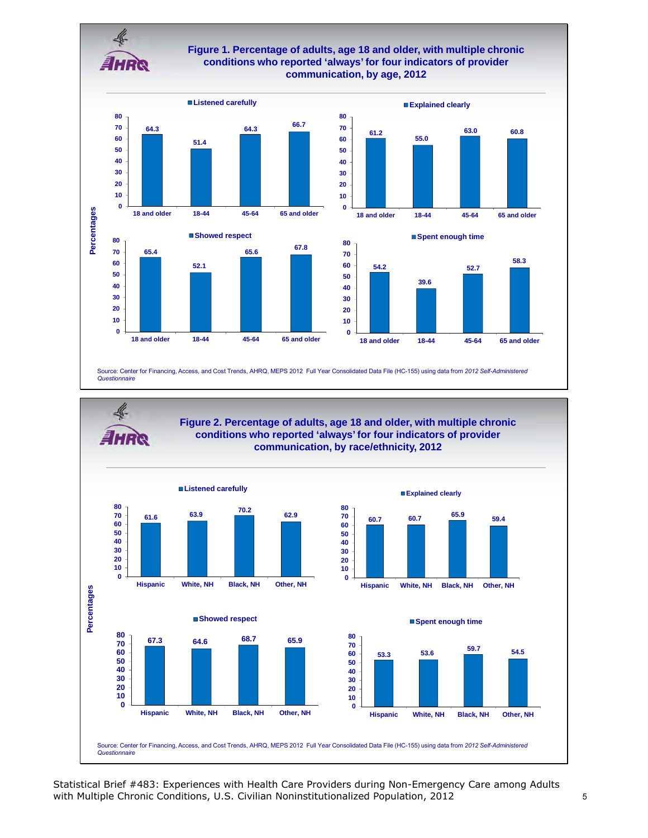

# **Figure 1. Percentage of adults, age 18 and older, with multiple chronic conditions who reported 'always' for four indicators of provider communication, by age, 2012**

 





**18 and older 18-44 45-64 65 and older**

**Explained clearly**

Source: Center for Financing, Access, and Cost Trends, AHRQ, MEPS 2012 Full Year Consolidated Data File (HC-155) using data from *2012 Self-Administered Questionnaire* 



Statistical Brief #483: Experiences with Health Care Providers during Non-Emergency Care among Adults